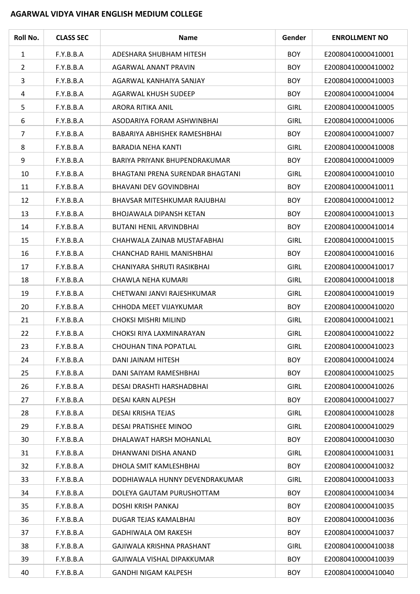## **AGARWAL VIDYA VIHAR ENGLISH MEDIUM COLLEGE**

| Roll No.       | <b>CLASS SEC</b> | <b>Name</b>                             | Gender      | <b>ENROLLMENT NO</b> |
|----------------|------------------|-----------------------------------------|-------------|----------------------|
| $\mathbf{1}$   | F.Y.B.B.A        | ADESHARA SHUBHAM HITESH                 | <b>BOY</b>  | E20080410000410001   |
| $\overline{2}$ | F.Y.B.B.A        | AGARWAL ANANT PRAVIN                    | <b>BOY</b>  | E20080410000410002   |
| 3              | F.Y.B.B.A        | AGARWAL KANHAIYA SANJAY                 | <b>BOY</b>  | E20080410000410003   |
| 4              | F.Y.B.B.A        | AGARWAL KHUSH SUDEEP                    | <b>BOY</b>  | E20080410000410004   |
| 5              | F.Y.B.B.A        | ARORA RITIKA ANIL                       | <b>GIRL</b> | E20080410000410005   |
| 6              | F.Y.B.B.A        | ASODARIYA FORAM ASHWINBHAI              | <b>GIRL</b> | E20080410000410006   |
| 7              | F.Y.B.B.A        | BABARIYA ABHISHEK RAMESHBHAI            | <b>BOY</b>  | E20080410000410007   |
| 8              | F.Y.B.B.A        | BARADIA NEHA KANTI                      | <b>GIRL</b> | E20080410000410008   |
| 9              | F.Y.B.B.A        | BARIYA PRIYANK BHUPENDRAKUMAR           | <b>BOY</b>  | E20080410000410009   |
| 10             | F.Y.B.B.A        | <b>BHAGTANI PRENA SURENDAR BHAGTANI</b> | <b>GIRL</b> | E20080410000410010   |
| 11             | F.Y.B.B.A        | <b>BHAVANI DEV GOVINDBHAI</b>           | <b>BOY</b>  | E20080410000410011   |
| 12             | F.Y.B.B.A        | BHAVSAR MITESHKUMAR RAJUBHAI            | <b>BOY</b>  | E20080410000410012   |
| 13             | F.Y.B.B.A        | <b>BHOJAWALA DIPANSH KETAN</b>          | <b>BOY</b>  | E20080410000410013   |
| 14             | F.Y.B.B.A        | <b>BUTANI HENIL ARVINDBHAI</b>          | <b>BOY</b>  | E20080410000410014   |
| 15             | F.Y.B.B.A        | CHAHWALA ZAINAB MUSTAFABHAI             | <b>GIRL</b> | E20080410000410015   |
| 16             | F.Y.B.B.A        | CHANCHAD RAHIL MANISHBHAI               | <b>BOY</b>  | E20080410000410016   |
| 17             | F.Y.B.B.A        | CHANIYARA SHRUTI RASIKBHAI              | <b>GIRL</b> | E20080410000410017   |
| 18             | F.Y.B.B.A        | CHAWLA NEHA KUMARI                      | <b>GIRL</b> | E20080410000410018   |
| 19             | F.Y.B.B.A        | CHETWANI JANVI RAJESHKUMAR              | <b>GIRL</b> | E20080410000410019   |
| 20             | F.Y.B.B.A        | CHHODA MEET VIJAYKUMAR                  | <b>BOY</b>  | E20080410000410020   |
| 21             | F.Y.B.B.A        | <b>CHOKSI MISHRI MILIND</b>             | <b>GIRL</b> | E20080410000410021   |
| 22             | F.Y.B.B.A        | CHOKSI RIYA LAXMINARAYAN                | <b>GIRL</b> | E20080410000410022   |
| 23             | F.Y.B.B.A        | CHOUHAN TINA POPATLAL                   | <b>GIRL</b> | E20080410000410023   |
| 24             | F.Y.B.B.A        | DANI JAINAM HITESH                      | <b>BOY</b>  | E20080410000410024   |
| 25             | F.Y.B.B.A        | DANI SAIYAM RAMESHBHAI                  | <b>BOY</b>  | E20080410000410025   |
| 26             | F.Y.B.B.A        | DESAI DRASHTI HARSHADBHAI               | <b>GIRL</b> | E20080410000410026   |
| 27             | F.Y.B.B.A        | DESAI KARN ALPESH                       | <b>BOY</b>  | E20080410000410027   |
| 28             | F.Y.B.B.A        | DESAI KRISHA TEJAS                      | <b>GIRL</b> | E20080410000410028   |
| 29             | F.Y.B.B.A        | DESAI PRATISHEE MINOO                   | <b>GIRL</b> | E20080410000410029   |
| 30             | F.Y.B.B.A        | DHALAWAT HARSH MOHANLAL                 | <b>BOY</b>  | E20080410000410030   |
| 31             | F.Y.B.B.A        | DHANWANI DISHA ANAND                    | <b>GIRL</b> | E20080410000410031   |
| 32             | F.Y.B.B.A        | DHOLA SMIT KAMLESHBHAI                  | <b>BOY</b>  | E20080410000410032   |
| 33             | F.Y.B.B.A        | DODHIAWALA HUNNY DEVENDRAKUMAR          | <b>GIRL</b> | E20080410000410033   |
| 34             | F.Y.B.B.A        | DOLEYA GAUTAM PURUSHOTTAM               | <b>BOY</b>  | E20080410000410034   |
| 35             | F.Y.B.B.A        | DOSHI KRISH PANKAJ                      | <b>BOY</b>  | E20080410000410035   |
| 36             | F.Y.B.B.A        | DUGAR TEJAS KAMALBHAI                   | <b>BOY</b>  | E20080410000410036   |
| 37             | F.Y.B.B.A        | <b>GADHIWALA OM RAKESH</b>              | <b>BOY</b>  | E20080410000410037   |
| 38             | F.Y.B.B.A        | GAJIWALA KRISHNA PRASHANT               | <b>GIRL</b> | E20080410000410038   |
| 39             | F.Y.B.B.A        | GAJIWALA VISHAL DIPAKKUMAR              | <b>BOY</b>  | E20080410000410039   |
| 40             | F.Y.B.B.A        | GANDHI NIGAM KALPESH                    | <b>BOY</b>  | E20080410000410040   |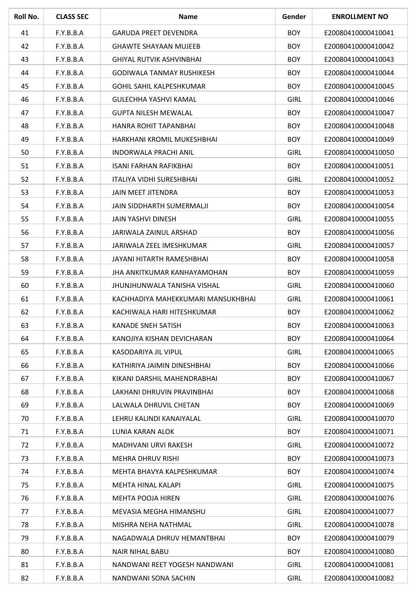| Roll No. | <b>CLASS SEC</b> | <b>Name</b>                        | Gender      | <b>ENROLLMENT NO</b> |
|----------|------------------|------------------------------------|-------------|----------------------|
| 41       | F.Y.B.B.A        | <b>GARUDA PREET DEVENDRA</b>       | <b>BOY</b>  | E20080410000410041   |
| 42       | F.Y.B.B.A        | <b>GHAWTE SHAYAAN MUJEEB</b>       | <b>BOY</b>  | E20080410000410042   |
| 43       | F.Y.B.B.A        | <b>GHIYAL RUTVIK ASHVINBHAI</b>    | <b>BOY</b>  | E20080410000410043   |
| 44       | F.Y.B.B.A        | <b>GODIWALA TANMAY RUSHIKESH</b>   | <b>BOY</b>  | E20080410000410044   |
| 45       | F.Y.B.B.A        | <b>GOHIL SAHIL KALPESHKUMAR</b>    | <b>BOY</b>  | E20080410000410045   |
| 46       | F.Y.B.B.A        | GULECHHA YASHVI KAMAL              | <b>GIRL</b> | E20080410000410046   |
| 47       | F.Y.B.B.A        | <b>GUPTA NILESH MEWALAL</b>        | <b>BOY</b>  | E20080410000410047   |
| 48       | F.Y.B.B.A        | HANRA ROHIT TAPANBHAI              | <b>BOY</b>  | E20080410000410048   |
| 49       | F.Y.B.B.A        | HARKHANI KROMIL MUKESHBHAI         | <b>BOY</b>  | E20080410000410049   |
| 50       | F.Y.B.B.A        | <b>INDORWALA PRACHI ANIL</b>       | <b>GIRL</b> | E20080410000410050   |
| 51       | F.Y.B.B.A        | <b>ISANI FARHAN RAFIKBHAI</b>      | <b>BOY</b>  | E20080410000410051   |
| 52       | F.Y.B.B.A        | <b>ITALIYA VIDHI SURESHBHAI</b>    | <b>GIRL</b> | E20080410000410052   |
| 53       | F.Y.B.B.A        | JAIN MEET JITENDRA                 | <b>BOY</b>  | E20080410000410053   |
| 54       | F.Y.B.B.A        | JAIN SIDDHARTH SUMERMALJI          | <b>BOY</b>  | E20080410000410054   |
| 55       | F.Y.B.B.A        | JAIN YASHVI DINESH                 | <b>GIRL</b> | E20080410000410055   |
| 56       | F.Y.B.B.A        | JARIWALA ZAINUL ARSHAD             | <b>BOY</b>  | E20080410000410056   |
| 57       | F.Y.B.B.A        | JARIWALA ZEEL IMESHKUMAR           | <b>GIRL</b> | E20080410000410057   |
| 58       | F.Y.B.B.A        | JAYANI HITARTH RAMESHBHAI          | <b>BOY</b>  | E20080410000410058   |
| 59       | F.Y.B.B.A        | JHA ANKITKUMAR KANHAYAMOHAN        | <b>BOY</b>  | E20080410000410059   |
| 60       | F.Y.B.B.A        | <b>JHUNJHUNWALA TANISHA VISHAL</b> | <b>GIRL</b> | E20080410000410060   |
| 61       | F.Y.B.B.A        | KACHHADIYA MAHEKKUMARI MANSUKHBHAI | <b>GIRL</b> | E20080410000410061   |
| 62       | F.Y.B.B.A        | KACHIWALA HARI HITESHKUMAR         | <b>BOY</b>  | E20080410000410062   |
| 63       | F.Y.B.B.A        | KANADE SNEH SATISH                 | <b>BOY</b>  | E20080410000410063   |
| 64       | F.Y.B.B.A        | KANOJIYA KISHAN DEVICHARAN         | <b>BOY</b>  | E20080410000410064   |
| 65       | F.Y.B.B.A        | KASODARIYA JIL VIPUL               | <b>GIRL</b> | E20080410000410065   |
| 66       | F.Y.B.B.A        | KATHIRIYA JAIMIN DINESHBHAI        | <b>BOY</b>  | E20080410000410066   |
| 67       | F.Y.B.B.A        | KIKANI DARSHIL MAHENDRABHAI        | <b>BOY</b>  | E20080410000410067   |
| 68       | F.Y.B.B.A        | LAKHANI DHRUVIN PRAVINBHAI         | <b>BOY</b>  | E20080410000410068   |
| 69       | F.Y.B.B.A        | LALWALA DHRUVIL CHETAN             | <b>BOY</b>  | E20080410000410069   |
| 70       | F.Y.B.B.A        | LEHRU KALINDI KANAIYALAL           | <b>GIRL</b> | E20080410000410070   |
| 71       | F.Y.B.B.A        | LUNIA KARAN ALOK                   | <b>BOY</b>  | E20080410000410071   |
| 72       | F.Y.B.B.A        | MADHVANI URVI RAKESH               | <b>GIRL</b> | E20080410000410072   |
| 73       | F.Y.B.B.A        | <b>MEHRA DHRUV RISHI</b>           | <b>BOY</b>  | E20080410000410073   |
| 74       | F.Y.B.B.A        | MEHTA BHAVYA KALPESHKUMAR          | <b>BOY</b>  | E20080410000410074   |
| 75       | F.Y.B.B.A        | MEHTA HINAL KALAPI                 | <b>GIRL</b> | E20080410000410075   |
| 76       | F.Y.B.B.A        | MEHTA POOJA HIREN                  | <b>GIRL</b> | E20080410000410076   |
| 77       | F.Y.B.B.A        | MEVASIA MEGHA HIMANSHU             | <b>GIRL</b> | E20080410000410077   |
| 78       | F.Y.B.B.A        | MISHRA NEHA NATHMAL                | <b>GIRL</b> | E20080410000410078   |
| 79       | F.Y.B.B.A        | NAGADWALA DHRUV HEMANTBHAI         | <b>BOY</b>  | E20080410000410079   |
| 80       | F.Y.B.B.A        | <b>NAIR NIHAL BABU</b>             | <b>BOY</b>  | E20080410000410080   |
| 81       | F.Y.B.B.A        | NANDWANI REET YOGESH NANDWANI      | <b>GIRL</b> | E20080410000410081   |
| 82       | F.Y.B.B.A        | NANDWANI SONA SACHIN               | <b>GIRL</b> | E20080410000410082   |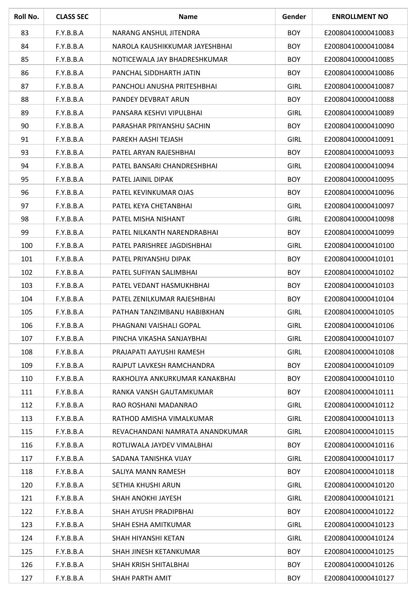| Roll No. | <b>CLASS SEC</b> | <b>Name</b>                     | Gender      | <b>ENROLLMENT NO</b> |
|----------|------------------|---------------------------------|-------------|----------------------|
| 83       | F.Y.B.B.A        | NARANG ANSHUL JITENDRA          | <b>BOY</b>  | E20080410000410083   |
| 84       | F.Y.B.B.A        | NAROLA KAUSHIKKUMAR JAYESHBHAI  | <b>BOY</b>  | E20080410000410084   |
| 85       | F.Y.B.B.A        | NOTICEWALA JAY BHADRESHKUMAR    | <b>BOY</b>  | E20080410000410085   |
| 86       | F.Y.B.B.A        | PANCHAL SIDDHARTH JATIN         | <b>BOY</b>  | E20080410000410086   |
| 87       | F.Y.B.B.A        | PANCHOLI ANUSHA PRITESHBHAI     | <b>GIRL</b> | E20080410000410087   |
| 88       | F.Y.B.B.A        | PANDEY DEVBRAT ARUN             | <b>BOY</b>  | E20080410000410088   |
| 89       | F.Y.B.B.A        | PANSARA KESHVI VIPULBHAI        | <b>GIRL</b> | E20080410000410089   |
| 90       | F.Y.B.B.A        | PARASHAR PRIYANSHU SACHIN       | <b>BOY</b>  | E20080410000410090   |
| 91       | F.Y.B.B.A        | PAREKH AASHI TEJASH             | <b>GIRL</b> | E20080410000410091   |
| 93       | F.Y.B.B.A        | PATEL ARYAN RAJESHBHAI          | <b>BOY</b>  | E20080410000410093   |
| 94       | F.Y.B.B.A        | PATEL BANSARI CHANDRESHBHAI     | <b>GIRL</b> | E20080410000410094   |
| 95       | F.Y.B.B.A        | PATEL JAINIL DIPAK              | <b>BOY</b>  | E20080410000410095   |
| 96       | F.Y.B.B.A        | PATEL KEVINKUMAR OJAS           | <b>BOY</b>  | E20080410000410096   |
| 97       | F.Y.B.B.A        | PATEL KEYA CHETANBHAI           | <b>GIRL</b> | E20080410000410097   |
| 98       | F.Y.B.B.A        | PATEL MISHA NISHANT             | <b>GIRL</b> | E20080410000410098   |
| 99       | F.Y.B.B.A        | PATEL NILKANTH NARENDRABHAI     | <b>BOY</b>  | E20080410000410099   |
| 100      | F.Y.B.B.A        | PATEL PARISHREE JAGDISHBHAI     | <b>GIRL</b> | E20080410000410100   |
| 101      | F.Y.B.B.A        | PATEL PRIYANSHU DIPAK           | <b>BOY</b>  | E20080410000410101   |
| 102      | F.Y.B.B.A        | PATEL SUFIYAN SALIMBHAI         | <b>BOY</b>  | E20080410000410102   |
| 103      | F.Y.B.B.A        | PATEL VEDANT HASMUKHBHAI        | <b>BOY</b>  | E20080410000410103   |
| 104      | F.Y.B.B.A        | PATEL ZENILKUMAR RAJESHBHAI     | <b>BOY</b>  | E20080410000410104   |
| 105      | F.Y.B.B.A        | PATHAN TANZIMBANU HABIBKHAN     | <b>GIRL</b> | E20080410000410105   |
| 106      | F.Y.B.B.A        | PHAGNANI VAISHALI GOPAL         | <b>GIRL</b> | E20080410000410106   |
| 107      | F.Y.B.B.A        | PINCHA VIKASHA SANJAYBHAI       | <b>GIRL</b> | E20080410000410107   |
| 108      | F.Y.B.B.A        | PRAJAPATI AAYUSHI RAMESH        | <b>GIRL</b> | E20080410000410108   |
| 109      | F.Y.B.B.A        | RAJPUT LAVKESH RAMCHANDRA       | <b>BOY</b>  | E20080410000410109   |
| 110      | F.Y.B.B.A        | RAKHOLIYA ANKURKUMAR KANAKBHAI  | <b>BOY</b>  | E20080410000410110   |
| 111      | F.Y.B.B.A        | RANKA VANSH GAUTAMKUMAR         | <b>BOY</b>  | E20080410000410111   |
| 112      | F.Y.B.B.A        | RAO ROSHANI MADANRAO            | <b>GIRL</b> | E20080410000410112   |
| 113      | F.Y.B.B.A        | RATHOD AMISHA VIMALKUMAR        | <b>GIRL</b> | E20080410000410113   |
| 115      | F.Y.B.B.A        | REVACHANDANI NAMRATA ANANDKUMAR | <b>GIRL</b> | E20080410000410115   |
| 116      | F.Y.B.B.A        | ROTLIWALA JAYDEV VIMALBHAI      | <b>BOY</b>  | E20080410000410116   |
| 117      | F.Y.B.B.A        | SADANA TANISHKA VIJAY           | <b>GIRL</b> | E20080410000410117   |
| 118      | F.Y.B.B.A        | SALIYA MANN RAMESH              | <b>BOY</b>  | E20080410000410118   |
| 120      | F.Y.B.B.A        | SETHIA KHUSHI ARUN              | <b>GIRL</b> | E20080410000410120   |
| 121      | F.Y.B.B.A        | SHAH ANOKHI JAYESH              | <b>GIRL</b> | E20080410000410121   |
| 122      | F.Y.B.B.A        | SHAH AYUSH PRADIPBHAI           | <b>BOY</b>  | E20080410000410122   |
| 123      | F.Y.B.B.A        | SHAH ESHA AMITKUMAR             | <b>GIRL</b> | E20080410000410123   |
| 124      | F.Y.B.B.A        | SHAH HIYANSHI KETAN             | <b>GIRL</b> | E20080410000410124   |
| 125      | F.Y.B.B.A        | SHAH JINESH KETANKUMAR          | <b>BOY</b>  | E20080410000410125   |
| 126      | F.Y.B.B.A        | SHAH KRISH SHITALBHAI           | <b>BOY</b>  | E20080410000410126   |
| 127      | F.Y.B.B.A        | SHAH PARTH AMIT                 | <b>BOY</b>  | E20080410000410127   |